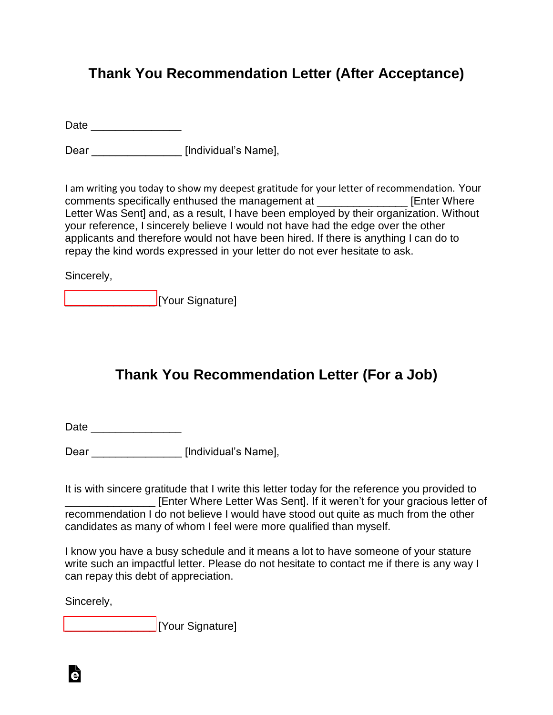## **Thank You Recommendation Letter (After Acceptance)**

Date \_\_\_\_\_\_\_\_\_\_\_\_\_\_\_

Dear \_\_\_\_\_\_\_\_\_\_\_\_\_\_\_\_\_\_\_ [Individual's Name],

I am writing you today to show my deepest gratitude for your letter of recommendation. Your comments specifically enthused the management at **Example 20** [Enter Where Letter Was Sent] and, as a result, I have been employed by their organization. Without your reference, I sincerely believe I would not have had the edge over the other applicants and therefore would not have been hired. If there is anything I can do to repay the kind words expressed in your letter do not ever hesitate to ask.

Sincerely,

[\\_\\_\\_\\_\\_\\_\\_\\_\\_\\_\\_\\_\\_\\_\\_](www.esign.com) [Your Signature]

## **Thank You Recommendation Letter (For a Job)**

Date \_\_\_\_\_\_\_\_\_\_\_\_\_\_\_

Dear **Dear** [Individual's Name],

It is with sincere gratitude that I write this letter today for the reference you provided to **Example 20** [Enter Where Letter Was Sent]. If it weren't for your gracious letter of recommendation I do not believe I would have stood out quite as much from the other candidates as many of whom I feel were more qualified than myself.

I know you have a busy schedule and it means a lot to have someone of your stature write such an impactful letter. Please do not hesitate to contact me if there is any way I can repay this debt of appreciation.

Sincerely,

Ġ

**Example 21 IYour Signature**